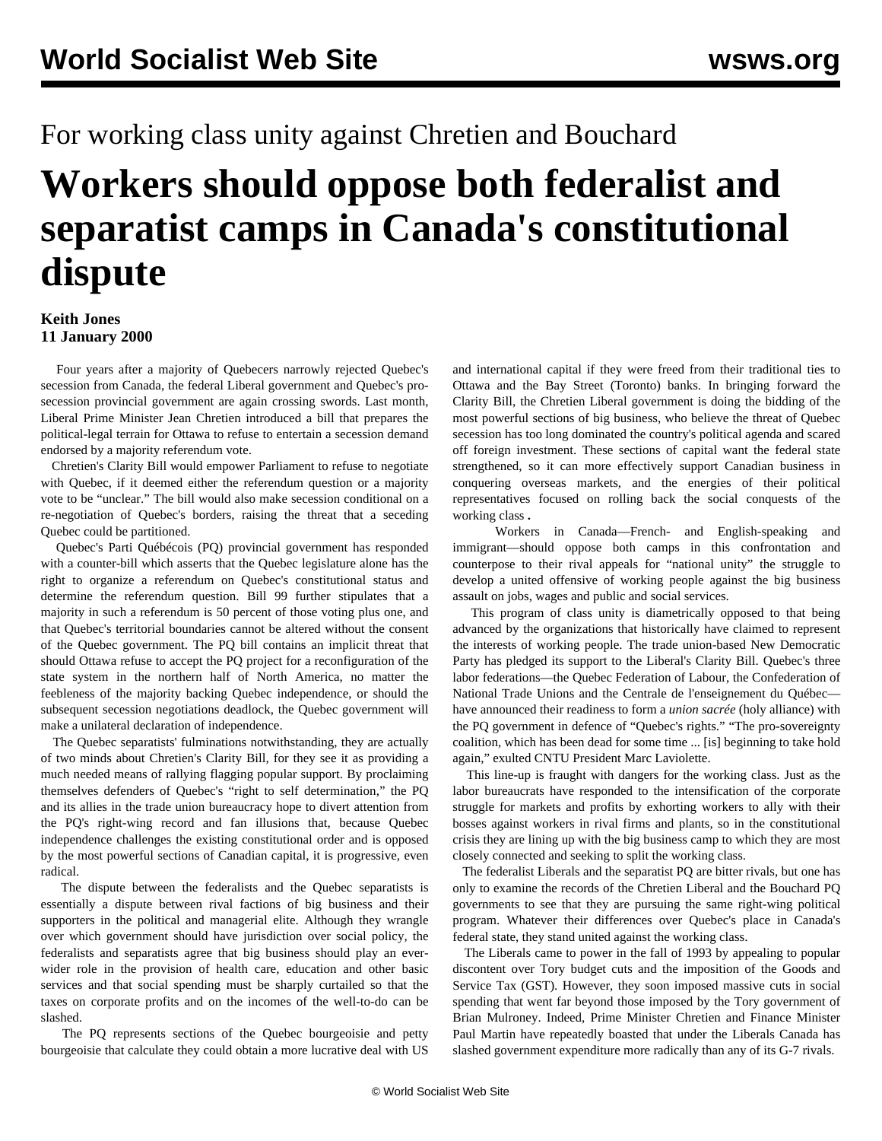## For working class unity against Chretien and Bouchard

## **Workers should oppose both federalist and separatist camps in Canada's constitutional dispute**

## **Keith Jones 11 January 2000**

 Four years after a majority of Quebecers narrowly rejected Quebec's secession from Canada, the federal Liberal government and Quebec's prosecession provincial government are again crossing swords. Last month, Liberal Prime Minister Jean Chretien introduced a bill that prepares the political-legal terrain for Ottawa to refuse to entertain a secession demand endorsed by a majority referendum vote.

 Chretien's Clarity Bill would empower Parliament to refuse to negotiate with Quebec, if it deemed either the referendum question or a majority vote to be "unclear." The bill would also make secession conditional on a re-negotiation of Quebec's borders, raising the threat that a seceding Quebec could be partitioned.

 Quebec's Parti Québécois (PQ) provincial government has responded with a counter-bill which asserts that the Quebec legislature alone has the right to organize a referendum on Quebec's constitutional status and determine the referendum question. Bill 99 further stipulates that a majority in such a referendum is 50 percent of those voting plus one, and that Quebec's territorial boundaries cannot be altered without the consent of the Quebec government. The PQ bill contains an implicit threat that should Ottawa refuse to accept the PQ project for a reconfiguration of the state system in the northern half of North America, no matter the feebleness of the majority backing Quebec independence, or should the subsequent secession negotiations deadlock, the Quebec government will make a unilateral declaration of independence.

 The Quebec separatists' fulminations notwithstanding, they are actually of two minds about Chretien's Clarity Bill, for they see it as providing a much needed means of rallying flagging popular support. By proclaiming themselves defenders of Quebec's "right to self determination," the PQ and its allies in the trade union bureaucracy hope to divert attention from the PQ's right-wing record and fan illusions that, because Quebec independence challenges the existing constitutional order and is opposed by the most powerful sections of Canadian capital, it is progressive, even radical.

 The dispute between the federalists and the Quebec separatists is essentially a dispute between rival factions of big business and their supporters in the political and managerial elite. Although they wrangle over which government should have jurisdiction over social policy, the federalists and separatists agree that big business should play an everwider role in the provision of health care, education and other basic services and that social spending must be sharply curtailed so that the taxes on corporate profits and on the incomes of the well-to-do can be slashed.

 The PQ represents sections of the Quebec bourgeoisie and petty bourgeoisie that calculate they could obtain a more lucrative deal with US

and international capital if they were freed from their traditional ties to Ottawa and the Bay Street (Toronto) banks. In bringing forward the Clarity Bill, the Chretien Liberal government is doing the bidding of the most powerful sections of big business, who believe the threat of Quebec secession has too long dominated the country's political agenda and scared off foreign investment. These sections of capital want the federal state strengthened, so it can more effectively support Canadian business in conquering overseas markets, and the energies of their political representatives focused on rolling back the social conquests of the working class **.**

 Workers in Canada—French- and English-speaking and immigrant—should oppose both camps in this confrontation and counterpose to their rival appeals for "national unity" the struggle to develop a united offensive of working people against the big business assault on jobs, wages and public and social services.

 This program of class unity is diametrically opposed to that being advanced by the organizations that historically have claimed to represent the interests of working people. The trade union-based New Democratic Party has pledged its support to the Liberal's Clarity Bill. Quebec's three labor federations—the Quebec Federation of Labour, the Confederation of National Trade Unions and the Centrale de l'enseignement du Québec have announced their readiness to form a *union sacrée* (holy alliance) with the PQ government in defence of "Quebec's rights." "The pro-sovereignty coalition, which has been dead for some time ... [is] beginning to take hold again," exulted CNTU President Marc Laviolette.

 This line-up is fraught with dangers for the working class. Just as the labor bureaucrats have responded to the intensification of the corporate struggle for markets and profits by exhorting workers to ally with their bosses against workers in rival firms and plants, so in the constitutional crisis they are lining up with the big business camp to which they are most closely connected and seeking to split the working class.

 The federalist Liberals and the separatist PQ are bitter rivals, but one has only to examine the records of the Chretien Liberal and the Bouchard PQ governments to see that they are pursuing the same right-wing political program. Whatever their differences over Quebec's place in Canada's federal state, they stand united against the working class.

 The Liberals came to power in the fall of 1993 by appealing to popular discontent over Tory budget cuts and the imposition of the Goods and Service Tax (GST). However, they soon imposed massive cuts in social spending that went far beyond those imposed by the Tory government of Brian Mulroney. Indeed, Prime Minister Chretien and Finance Minister Paul Martin have repeatedly boasted that under the Liberals Canada has slashed government expenditure more radically than any of its G-7 rivals.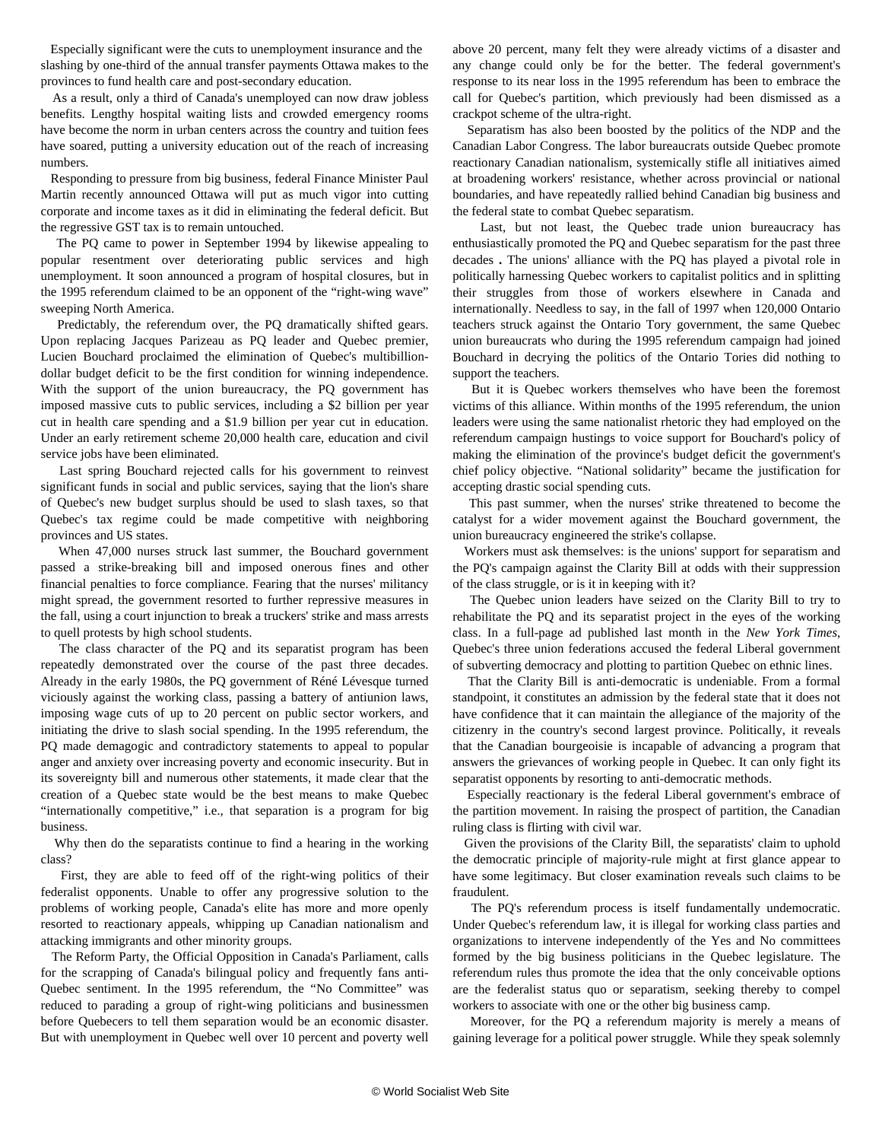Especially significant were the cuts to unemployment insurance and the slashing by one-third of the annual transfer payments Ottawa makes to the provinces to fund health care and post-secondary education.

 As a result, only a third of Canada's unemployed can now draw jobless benefits. Lengthy hospital waiting lists and crowded emergency rooms have become the norm in urban centers across the country and tuition fees have soared, putting a university education out of the reach of increasing numbers.

 Responding to pressure from big business, federal Finance Minister Paul Martin recently announced Ottawa will put as much vigor into cutting corporate and income taxes as it did in eliminating the federal deficit. But the regressive GST tax is to remain untouched.

 The PQ came to power in September 1994 by likewise appealing to popular resentment over deteriorating public services and high unemployment. It soon announced a program of hospital closures, but in the 1995 referendum claimed to be an opponent of the "right-wing wave" sweeping North America.

 Predictably, the referendum over, the PQ dramatically shifted gears. Upon replacing Jacques Parizeau as PQ leader and Quebec premier, Lucien Bouchard proclaimed the elimination of Quebec's multibilliondollar budget deficit to be the first condition for winning independence. With the support of the union bureaucracy, the PQ government has imposed massive cuts to public services, including a \$2 billion per year cut in health care spending and a \$1.9 billion per year cut in education. Under an early retirement scheme 20,000 health care, education and civil service jobs have been eliminated.

 Last spring Bouchard rejected calls for his government to reinvest significant funds in social and public services, saying that the lion's share of Quebec's new budget surplus should be used to slash taxes, so that Quebec's tax regime could be made competitive with neighboring provinces and US states.

 When 47,000 nurses struck last summer, the Bouchard government passed a strike-breaking bill and imposed onerous fines and other financial penalties to force compliance. Fearing that the nurses' militancy might spread, the government resorted to further repressive measures in the fall, using a court injunction to break a truckers' strike and mass arrests to quell protests by high school students.

 The class character of the PQ and its separatist program has been repeatedly demonstrated over the course of the past three decades. Already in the early 1980s, the PQ government of Réné Lévesque turned viciously against the working class, passing a battery of antiunion laws, imposing wage cuts of up to 20 percent on public sector workers, and initiating the drive to slash social spending. In the 1995 referendum, the PQ made demagogic and contradictory statements to appeal to popular anger and anxiety over increasing poverty and economic insecurity. But in its sovereignty bill and numerous other statements, it made clear that the creation of a Quebec state would be the best means to make Quebec "internationally competitive," i.e., that separation is a program for big business.

 Why then do the separatists continue to find a hearing in the working class?

 First, they are able to feed off of the right-wing politics of their federalist opponents. Unable to offer any progressive solution to the problems of working people, Canada's elite has more and more openly resorted to reactionary appeals, whipping up Canadian nationalism and attacking immigrants and other minority groups.

 The Reform Party, the Official Opposition in Canada's Parliament, calls for the scrapping of Canada's bilingual policy and frequently fans anti-Quebec sentiment. In the 1995 referendum, the "No Committee" was reduced to parading a group of right-wing politicians and businessmen before Quebecers to tell them separation would be an economic disaster. But with unemployment in Quebec well over 10 percent and poverty well above 20 percent, many felt they were already victims of a disaster and any change could only be for the better. The federal government's response to its near loss in the 1995 referendum has been to embrace the call for Quebec's partition, which previously had been dismissed as a crackpot scheme of the ultra-right.

 Separatism has also been boosted by the politics of the NDP and the Canadian Labor Congress. The labor bureaucrats outside Quebec promote reactionary Canadian nationalism, systemically stifle all initiatives aimed at broadening workers' resistance, whether across provincial or national boundaries, and have repeatedly rallied behind Canadian big business and the federal state to combat Quebec separatism.

 Last, but not least, the Quebec trade union bureaucracy has enthusiastically promoted the PQ and Quebec separatism for the past three decades **.** The unions' alliance with the PQ has played a pivotal role in politically harnessing Quebec workers to capitalist politics and in splitting their struggles from those of workers elsewhere in Canada and internationally. Needless to say, in the fall of 1997 when 120,000 Ontario teachers struck against the Ontario Tory government, the same Quebec union bureaucrats who during the 1995 referendum campaign had joined Bouchard in decrying the politics of the Ontario Tories did nothing to support the teachers.

 But it is Quebec workers themselves who have been the foremost victims of this alliance. Within months of the 1995 referendum, the union leaders were using the same nationalist rhetoric they had employed on the referendum campaign hustings to voice support for Bouchard's policy of making the elimination of the province's budget deficit the government's chief policy objective. "National solidarity" became the justification for accepting drastic social spending cuts.

 This past summer, when the nurses' strike threatened to become the catalyst for a wider movement against the Bouchard government, the union bureaucracy engineered the strike's collapse.

 Workers must ask themselves: is the unions' support for separatism and the PQ's campaign against the Clarity Bill at odds with their suppression of the class struggle, or is it in keeping with it?

 The Quebec union leaders have seized on the Clarity Bill to try to rehabilitate the PQ and its separatist project in the eyes of the working class. In a full-page ad published last month in the *New York Times*, Quebec's three union federations accused the federal Liberal government of subverting democracy and plotting to partition Quebec on ethnic lines.

 That the Clarity Bill is anti-democratic is undeniable. From a formal standpoint, it constitutes an admission by the federal state that it does not have confidence that it can maintain the allegiance of the majority of the citizenry in the country's second largest province. Politically, it reveals that the Canadian bourgeoisie is incapable of advancing a program that answers the grievances of working people in Quebec. It can only fight its separatist opponents by resorting to anti-democratic methods.

 Especially reactionary is the federal Liberal government's embrace of the partition movement. In raising the prospect of partition, the Canadian ruling class is flirting with civil war.

 Given the provisions of the Clarity Bill, the separatists' claim to uphold the democratic principle of majority-rule might at first glance appear to have some legitimacy. But closer examination reveals such claims to be fraudulent.

 The PQ's referendum process is itself fundamentally undemocratic. Under Quebec's referendum law, it is illegal for working class parties and organizations to intervene independently of the Yes and No committees formed by the big business politicians in the Quebec legislature. The referendum rules thus promote the idea that the only conceivable options are the federalist status quo or separatism, seeking thereby to compel workers to associate with one or the other big business camp.

 Moreover, for the PQ a referendum majority is merely a means of gaining leverage for a political power struggle. While they speak solemnly